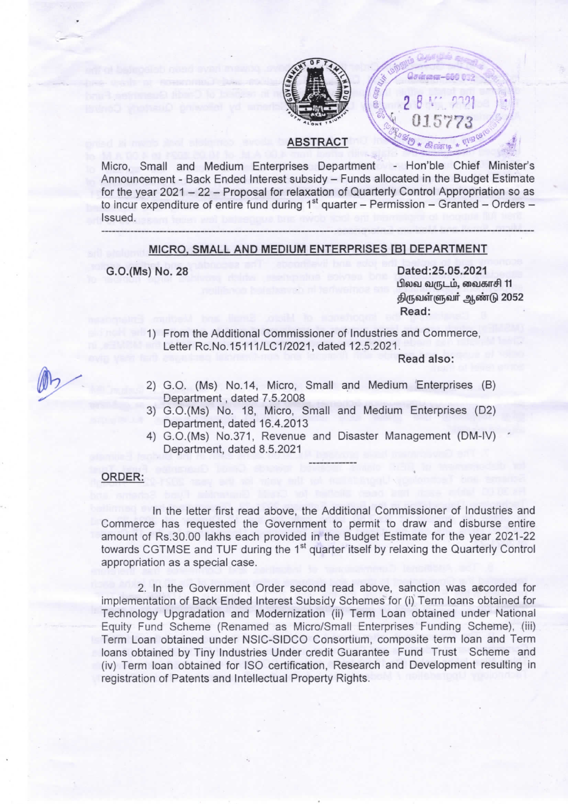

**ABSTRACT** 

Micro, Small and Medium Enterprises Department - Hon'ble Chief Minister's Announcement - Back Ended Interest subsidy - Funds allocated in the Budget Estimate for the year 2021 - 22 - Proposal for relaxation of Quarterly Control Appropriation so as to incur expenditure of entire fund during  $1<sup>st</sup>$  quarter – Permission – Granted – Orders – Issued.

#### MICRO, SMALL AND MEDIUM ENTERPRISES [B] DEPARTMENT

G.O.(Ms) No. 28

Dated: 25.05.2021 பிலவ வருடம், வைகாசி 11 திருவள்ளுவர் ஆண்டு 2052 Read:

1) From the Additional Commissioner of Industries and Commerce, Letter Rc.No.15111/LC1/2021, dated 12.5.2021.

Read also:

 $28<sup>1</sup>$ 

0157

 $\star$   $\epsilon$ *signific* 

- 2) G.O. (Ms) No.14, Micro, Small and Medium Enterprises (B) Department, dated 7.5.2008
- 3) G.O.(Ms) No. 18, Micro, Small and Medium Enterprises (D2) Department, dated 16.4.2013
- 4) G.O.(Ms) No.371, Revenue and Disaster Management (DM-IV) Department, dated 8.5.2021

## ORDER:

In the letter first read above, the Additional Commissioner of Industries and Commerce has requested the Government to permit to draw and disburse entire amount of Rs.30.00 lakhs each provided in the Budget Estimate for the year 2021-22 towards CGTMSE and TUF during the 1<sup>st</sup> quarter itself by relaxing the Quarterly Control appropriation as a special case.

2. In the Government Order second read above, sanction was accorded for implementation of Back Ended Interest Subsidy Schemes for (i) Term loans obtained for Technology Upgradation and Modernization (ii) Term Loan obtained under National Equity Fund Scheme (Renamed as Micro/Small Enterprises Funding Scheme), (iii) Term Loan obtained under NSIC-SIDCO Consortium, composite term loan and Term loans obtained by Tiny Industries Under credit Guarantee Fund Trust Scheme and (iv) Term loan obtained for ISO certification, Research and Development resulting in registration of Patents and Intellectual Property Rights.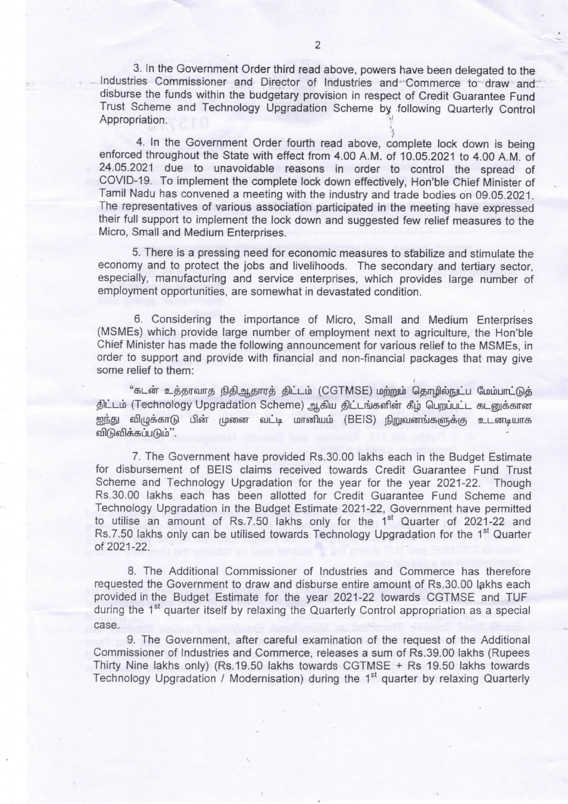3. In the Government Order third read above, powers have been delegated to the Industries Commissioner and Director of Industries and Commerce to draw and disburse the funds within the budgetary provision in respect of Credit Guarantee Fund Trust Scheme and Technology Upgradation Scheme by following Quarterly Control Appropriation.

4. In the Government Order fourth read above, complete lock down is being enforced throughout the State with effect from 4.00 A.M. of 10.05.2021 to 4.00 A.M. of 24.05.2021 due to unavoidable reasons in order to control the spread of COVID-19. To implement the complete lock down effectively, Hon'ble Chief Minister of Tamil Nadu has convened a meeting with the industry and trade bodies on 09.05.2021. The representatives of various association participated in the meeting have expressed their full support to implement the lock down and suggested few relief measures to the Micro, Small and Medium Enterprises.

5. There is a pressing need for economic measures to stabilize and stimulate the economy and to protect the jobs and livelihoods. The secondary and tertiary sector, especially, manufacturing and service enterprises, which provides large number of employment opportunities, are somewhat in devastated condition.

6. Considering the importance of Micro, Small and Medium Enterprises (MSMEs) which provide large number of employment next to agriculture, the Hon'ble Chief Minister has made the following announcement for various relief to the MSMEs, in order to support and provide with financial and non-financial packages that may give some relief to them:

"கடன் உத்தரவாத நிதிஆதாரத் திட்டம் (CGTMSE) மற்றும் தொழில்நுட்ப மேம்பாட்டுத் திட்டம் (Technology Upgradation Scheme) ஆகிய திட்டங்களின் கீழ் பெறப்பட்ட கடனுக்கான ஐந்து விழுக்காடு பின் முனை வட்டி மானியம் (BEIS) நிறுவனங்களுக்கு உடனடியாக விடுவிக்கப்படும்".

7. The Government have provided Rs.30.00 lakhs each in the Budget Estimate for disbursement of BEIS claims received towards Credit Guarantee Fund Trust Scheme and Technology Upgradation for the year for the year 2021-22. Though Rs.30.00 lakhs each has been allotted for Credit Guarantee Fund Scheme and Technology Upgradation in the Budget Estimate 2021-22, Government have permitted to utilise an amount of Rs.7.50 lakhs only for the 1<sup>st</sup> Quarter of 2021-22 and Rs.7.50 lakhs only can be utilised towards Technology Upgradation for the 1<sup>st</sup> Quarter of 2021 -22.

8. The Additional Commissioner of Industries and Commerce has therefore requested the Government to draw and disburse entire amount of Rs.30.00 lakhs each provided in the Budget Estimate for the year 2021-22 towards CGTMSE and TUF during the 1<sup>st</sup> quarter itself by relaxing the Quarterly Control appropriation as a special Case.

9. The Government, after careful examination of the request of the Additional Commissioner of Industries and Commerce, releases a sum of Rs.39.00 lakhs (Rupees Thirty Nine lakhs only) (Rs.19.50 lakhs towards CGTMSE + Rs 19.50 lakhs towards Technology Upgradation / Modernisation) during the  $1<sup>st</sup>$  guarter by relaxing Quarterly